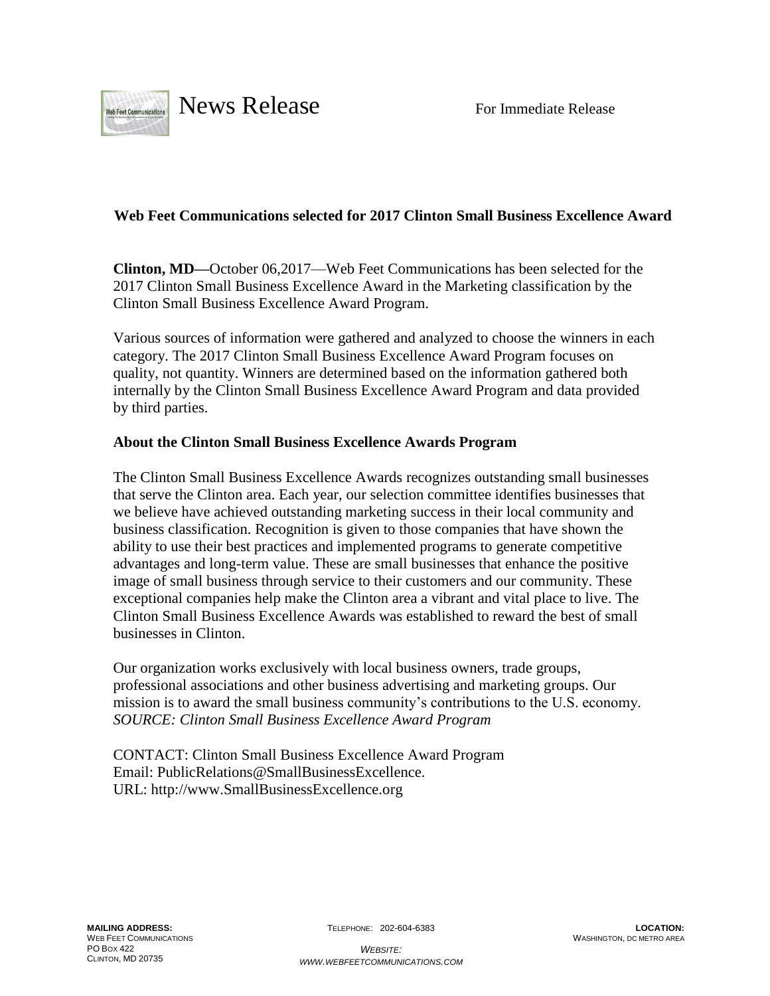

## **Web Feet Communications selected for 2017 Clinton Small Business Excellence Award**

**Clinton, MD—**October 06,2017—Web Feet Communications has been selected for the 2017 Clinton Small Business Excellence Award in the Marketing classification by the Clinton Small Business Excellence Award Program.

Various sources of information were gathered and analyzed to choose the winners in each category. The 2017 Clinton Small Business Excellence Award Program focuses on quality, not quantity. Winners are determined based on the information gathered both internally by the Clinton Small Business Excellence Award Program and data provided by third parties.

## **About the Clinton Small Business Excellence Awards Program**

The Clinton Small Business Excellence Awards recognizes outstanding small businesses that serve the Clinton area. Each year, our selection committee identifies businesses that we believe have achieved outstanding marketing success in their local community and business classification. Recognition is given to those companies that have shown the ability to use their best practices and implemented programs to generate competitive advantages and long-term value. These are small businesses that enhance the positive image of small business through service to their customers and our community. These exceptional companies help make the Clinton area a vibrant and vital place to live. The Clinton Small Business Excellence Awards was established to reward the best of small businesses in Clinton.

Our organization works exclusively with local business owners, trade groups, professional associations and other business advertising and marketing groups. Our mission is to award the small business community's contributions to the U.S. economy. *SOURCE: Clinton Small Business Excellence Award Program*

CONTACT: Clinton Small Business Excellence Award Program Email: PublicRelations@SmallBusinessExcellence. URL: http://www.SmallBusinessExcellence.org